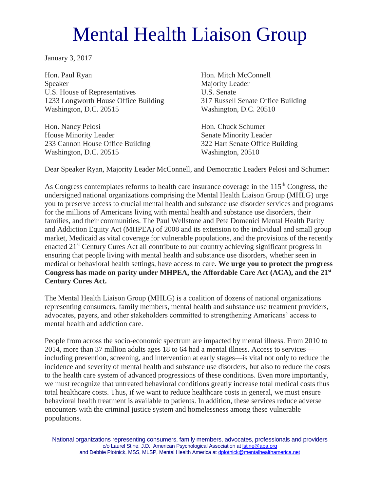## Mental Health Liaison Group

January 3, 2017

Hon. Paul Ryan Speaker U.S. House of Representatives 1233 Longworth House Office Building Washington, D.C. 20515

Hon. Nancy Pelosi House Minority Leader 233 Cannon House Office Building Washington, D.C. 20515

Hon. Mitch McConnell Majority Leader U.S. Senate 317 Russell Senate Office Building Washington, D.C. 20510

Hon. Chuck Schumer Senate Minority Leader 322 Hart Senate Office Building Washington, 20510

Dear Speaker Ryan, Majority Leader McConnell, and Democratic Leaders Pelosi and Schumer:

As Congress contemplates reforms to health care insurance coverage in the 115<sup>th</sup> Congress, the undersigned national organizations comprising the Mental Health Liaison Group (MHLG) urge you to preserve access to crucial mental health and substance use disorder services and programs for the millions of Americans living with mental health and substance use disorders, their families, and their communities. The Paul Wellstone and Pete Domenici Mental Health Parity and Addiction Equity Act (MHPEA) of 2008 and its extension to the individual and small group market, Medicaid as vital coverage for vulnerable populations, and the provisions of the recently enacted 21<sup>st</sup> Century Cures Act all contribute to our country achieving significant progress in ensuring that people living with mental health and substance use disorders, whether seen in medical or behavioral health settings, have access to care. **We urge you to protect the progress Congress has made on parity under MHPEA, the Affordable Care Act (ACA), and the 21st Century Cures Act.** 

The Mental Health Liaison Group (MHLG) is a coalition of dozens of national organizations representing consumers, family members, mental health and substance use treatment providers, advocates, payers, and other stakeholders committed to strengthening Americans' access to mental health and addiction care.

People from across the socio-economic spectrum are impacted by mental illness. From 2010 to 2014, more than 37 million adults ages 18 to 64 had a mental illness. Access to services including prevention, screening, and intervention at early stages—is vital not only to reduce the incidence and severity of mental health and substance use disorders, but also to reduce the costs to the health care system of advanced progressions of these conditions. Even more importantly, we must recognize that untreated behavioral conditions greatly increase total medical costs thus total healthcare costs. Thus, if we want to reduce healthcare costs in general, we must ensure behavioral health treatment is available to patients. In addition, these services reduce adverse encounters with the criminal justice system and homelessness among these vulnerable populations.

National organizations representing consumers, family members, advocates, professionals and providers c/o Laurel Stine, J.D., American Psychological Association a[t lstine@apa.org](mailto:lstine@apa.org) and Debbie Plotnick, MSS, MLSP, Mental Health America a[t dplotnick@mentalhealthamerica.net](mailto:dplotnick@mentalhealthamerica.net)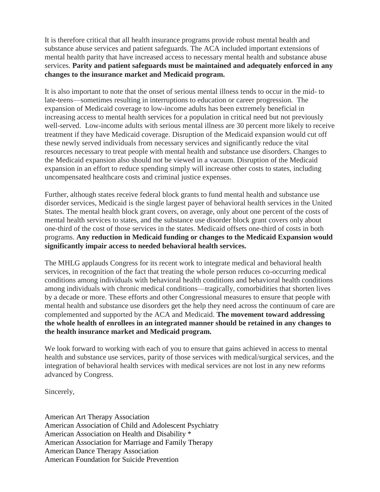It is therefore critical that all health insurance programs provide robust mental health and substance abuse services and patient safeguards. The ACA included important extensions of mental health parity that have increased access to necessary mental health and substance abuse services. **Parity and patient safeguards must be maintained and adequately enforced in any changes to the insurance market and Medicaid program.** 

It is also important to note that the onset of serious mental illness tends to occur in the mid- to late-teens—sometimes resulting in interruptions to education or career progression. The expansion of Medicaid coverage to low-income adults has been extremely beneficial in increasing access to mental health services for a population in critical need but not previously well-served. Low-income adults with serious mental illness are 30 percent more likely to receive treatment if they have Medicaid coverage. Disruption of the Medicaid expansion would cut off these newly served individuals from necessary services and significantly reduce the vital resources necessary to treat people with mental health and substance use disorders. Changes to the Medicaid expansion also should not be viewed in a vacuum. Disruption of the Medicaid expansion in an effort to reduce spending simply will increase other costs to states, including uncompensated healthcare costs and criminal justice expenses.

Further, although states receive federal block grants to fund mental health and substance use disorder services, Medicaid is the single largest payer of behavioral health services in the United States. The mental health block grant covers, on average, only about one percent of the costs of mental health services to states, and the substance use disorder block grant covers only about one-third of the cost of those services in the states. Medicaid offsets one-third of costs in both programs. **Any reduction in Medicaid funding or changes to the Medicaid Expansion would significantly impair access to needed behavioral health services.**

The MHLG applauds Congress for its recent work to integrate medical and behavioral health services, in recognition of the fact that treating the whole person reduces co-occurring medical conditions among individuals with behavioral health conditions and behavioral health conditions among individuals with chronic medical conditions—tragically, comorbidities that shorten lives by a decade or more. These efforts and other Congressional measures to ensure that people with mental health and substance use disorders get the help they need across the continuum of care are complemented and supported by the ACA and Medicaid. **The movement toward addressing the whole health of enrollees in an integrated manner should be retained in any changes to the health insurance market and Medicaid program.**

We look forward to working with each of you to ensure that gains achieved in access to mental health and substance use services, parity of those services with medical/surgical services, and the integration of behavioral health services with medical services are not lost in any new reforms advanced by Congress.

Sincerely,

American Art Therapy Association American Association of Child and Adolescent Psychiatry American Association on Health and Disability \* American Association for Marriage and Family Therapy American Dance Therapy Association American Foundation for Suicide Prevention